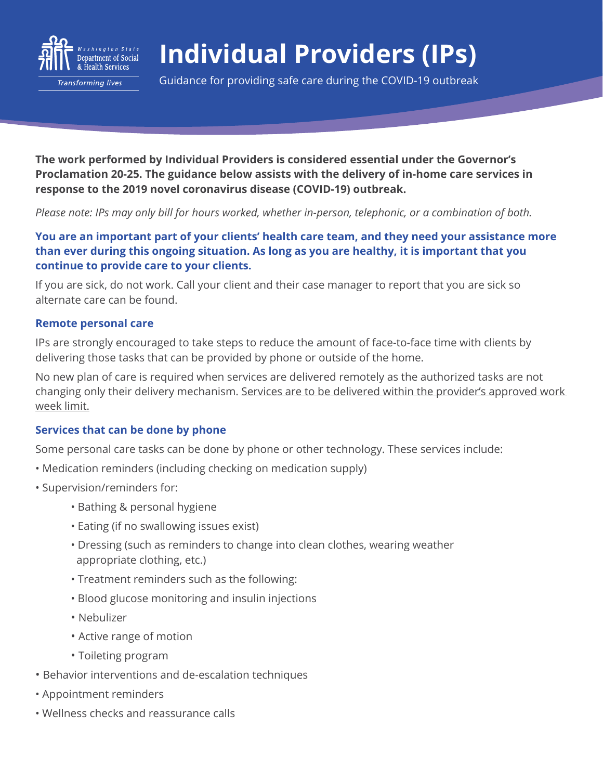

Transforming lives

# **Individual Providers (IPs)**

Guidance for providing safe care during the COVID-19 outbreak

**The work performed by Individual Providers is considered essential under the Governor's Proclamation 20-25. The guidance below assists with the delivery of in-home care services in response to the 2019 novel coronavirus disease (COVID-19) outbreak.** 

*Please note: IPs may only bill for hours worked, whether in-person, telephonic, or a combination of both.*

# **You are an important part of your clients' health care team, and they need your assistance more than ever during this ongoing situation. As long as you are healthy, it is important that you continue to provide care to your clients.**

If you are sick, do not work. Call your client and their case manager to report that you are sick so alternate care can be found.

## **Remote personal care**

IPs are strongly encouraged to take steps to reduce the amount of face-to-face time with clients by delivering those tasks that can be provided by phone or outside of the home.

No new plan of care is required when services are delivered remotely as the authorized tasks are not changing only their delivery mechanism. Services are to be delivered within the provider's approved work week limit.

# **Services that can be done by phone**

Some personal care tasks can be done by phone or other technology. These services include:

- Medication reminders (including checking on medication supply)
- Supervision/reminders for:
	- Bathing & personal hygiene
	- Eating (if no swallowing issues exist)
	- Dressing (such as reminders to change into clean clothes, wearing weather appropriate clothing, etc.)
	- Treatment reminders such as the following:
	- Blood glucose monitoring and insulin injections
	- Nebulizer
	- Active range of motion
	- Toileting program
- Behavior interventions and de-escalation techniques
- Appointment reminders
- Wellness checks and reassurance calls